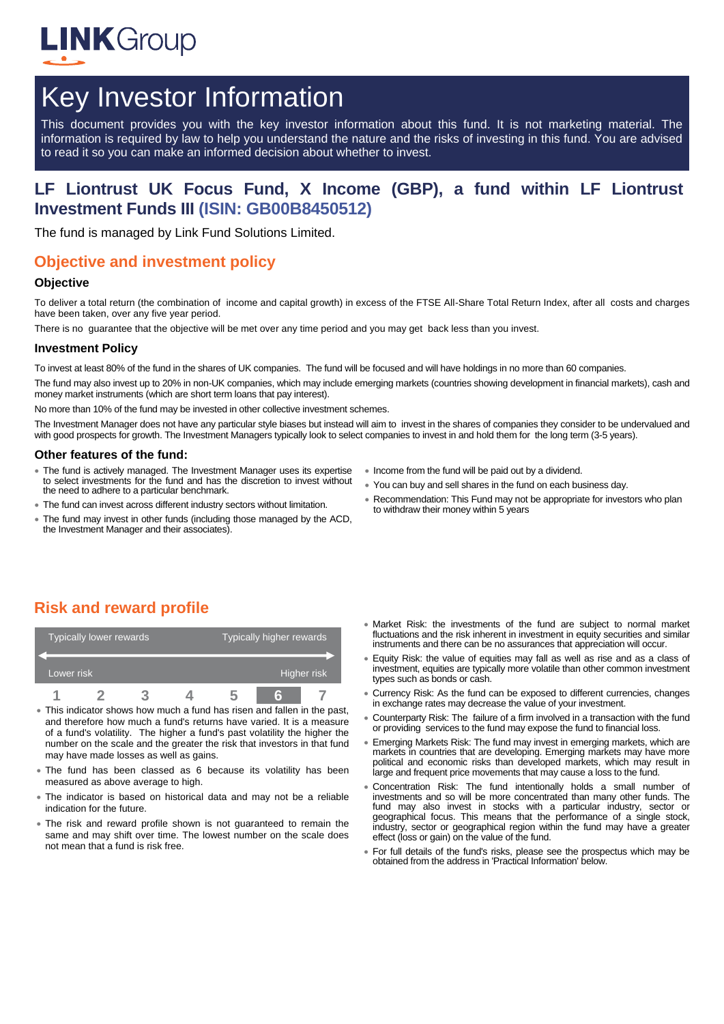

# Key Investor Information

This document provides you with the key investor information about this fund. It is not marketing material. The information is required by law to help you understand the nature and the risks of investing in this fund. You are advised to read it so you can make an informed decision about whether to invest.

## **LF Liontrust UK Focus Fund, X Income (GBP), a fund within LF Liontrust Investment Funds III (ISIN: GB00B8450512)**

The fund is managed by Link Fund Solutions Limited.

## **Objective and investment policy**

#### **Objective**

To deliver a total return (the combination of income and capital growth) in excess of the FTSE All-Share Total Return Index, after all costs and charges have been taken, over any five year period.

There is no guarantee that the objective will be met over any time period and you may get back less than you invest.

#### **Investment Policy**

To invest at least 80% of the fund in the shares of UK companies. The fund will be focused and will have holdings in no more than 60 companies.

The fund may also invest up to 20% in non-UK companies, which may include emerging markets (countries showing development in financial markets), cash and money market instruments (which are short term loans that pay interest).

No more than 10% of the fund may be invested in other collective investment schemes.

The Investment Manager does not have any particular style biases but instead will aim to invest in the shares of companies they consider to be undervalued and with good prospects for growth. The Investment Managers typically look to select companies to invest in and hold them for the long term (3-5 years).

#### **Other features of the fund:**

- The fund is actively managed. The Investment Manager uses its expertise to select investments for the fund and has the discretion to invest without the need to adhere to a particular benchmark.
- The fund can invest across different industry sectors without limitation.
- The fund may invest in other funds (including those managed by the ACD, the Investment Manager and their associates).
- Income from the fund will be paid out by a dividend.
- You can buy and sell shares in the fund on each business day.
- Recommendation: This Fund may not be appropriate for investors who plan to withdraw their money within 5 years

# **Risk and reward profile**

| Typically lower rewards |  |  |  | Typically higher rewards |  |             |  |
|-------------------------|--|--|--|--------------------------|--|-------------|--|
| Lower risk              |  |  |  |                          |  | Higher risk |  |
|                         |  |  |  |                          |  |             |  |

- This indicator shows how much a fund has risen and fallen in the past, and therefore how much a fund's returns have varied. It is a measure of a fund's volatility. The higher a fund's past volatility the higher the number on the scale and the greater the risk that investors in that fund may have made losses as well as gains.
- The fund has been classed as 6 because its volatility has been measured as above average to high.
- The indicator is based on historical data and may not be a reliable indication for the future.
- The risk and reward profile shown is not guaranteed to remain the same and may shift over time. The lowest number on the scale does not mean that a fund is risk free.
- Market Risk: the investments of the fund are subject to normal market fluctuations and the risk inherent in investment in equity securities and similar instruments and there can be no assurances that appreciation will occur.
- Equity Risk: the value of equities may fall as well as rise and as a class of investment, equities are typically more volatile than other common investment types such as bonds or cash.
- Currency Risk: As the fund can be exposed to different currencies, changes in exchange rates may decrease the value of your investment.
- Counterparty Risk: The failure of a firm involved in a transaction with the fund or providing services to the fund may expose the fund to financial loss.
- Emerging Markets Risk: The fund may invest in emerging markets, which are markets in countries that are developing. Emerging markets may have more political and economic risks than developed markets, which may result in large and frequent price movements that may cause a loss to the fund.
- Concentration Risk: The fund intentionally holds a small number of investments and so will be more concentrated than many other funds. The fund may also invest in stocks with a particular industry, sector or geographical focus. This means that the performance of a single stock, industry, sector or geographical region within the fund may have a greater effect (loss or gain) on the value of the fund.
- For full details of the fund's risks, please see the prospectus which may be obtained from the address in 'Practical Information' below.